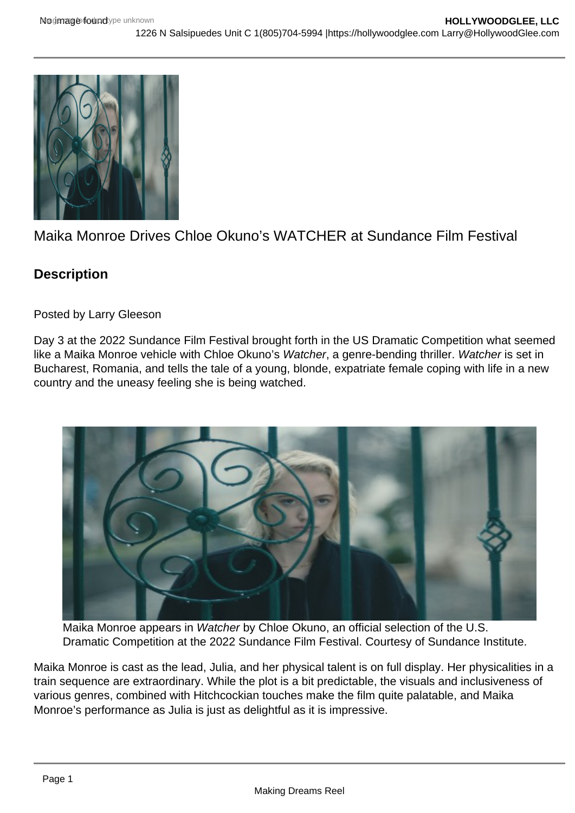## Maika Monroe Drives Chloe Okuno's WATCHER at Sundance Film Festival

**Description** 

Posted by Larry Gleeson

Day 3 at the 2022 Sundance Film Festival brought forth in the US Dramatic Competition what seemed like a Maika Monroe vehicle with Chloe Okuno's Watcher, a genre-bending thriller. Watcher is set in Bucharest, Romania, and tells the tale of a young, blonde, expatriate female coping with life in a new country and the uneasy feeling she is being watched.

Maika Monroe appears in Watcher by Chloe Okuno, an official selection of the U.S. Dramatic Competition at the 2022 Sundance Film Festival. Courtesy of Sundance Institute.

Maika Monroe is cast as the lead, Julia, and her physical talent is on full display. Her physicalities in a train sequence are extraordinary. While the plot is a bit predictable, the visuals and inclusiveness of various genres, combined with Hitchcockian touches make the film quite palatable, and Maika Monroe's performance as Julia is just as delightful as it is impressive.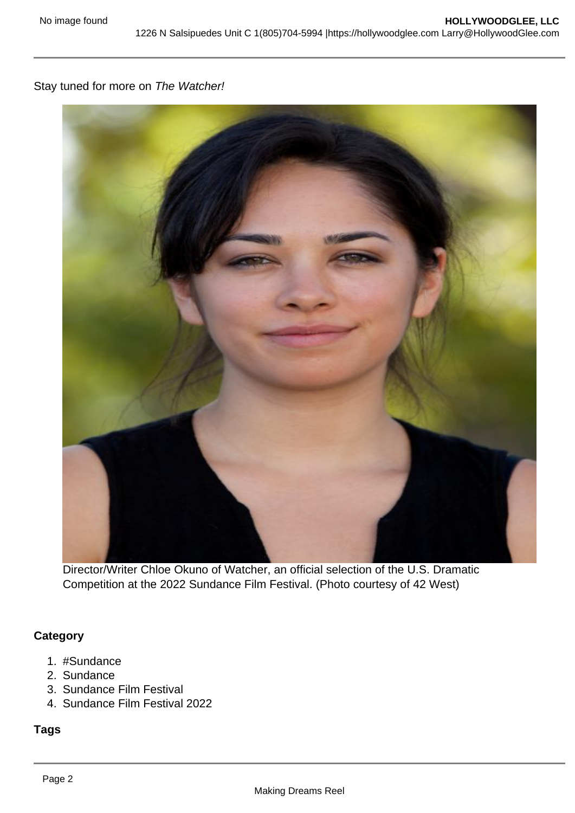Stay tuned for more on The Watcher!

Director/Writer Chloe Okuno of Watcher, an official selection of the U.S. Dramatic Competition at the 2022 Sundance Film Festival. (Photo courtesy of 42 West)

**Category** 

- 1. #Sundance
- 2. Sundance
- 3. Sundance Film Festival
- 4. Sundance Film Festival 2022

Tags